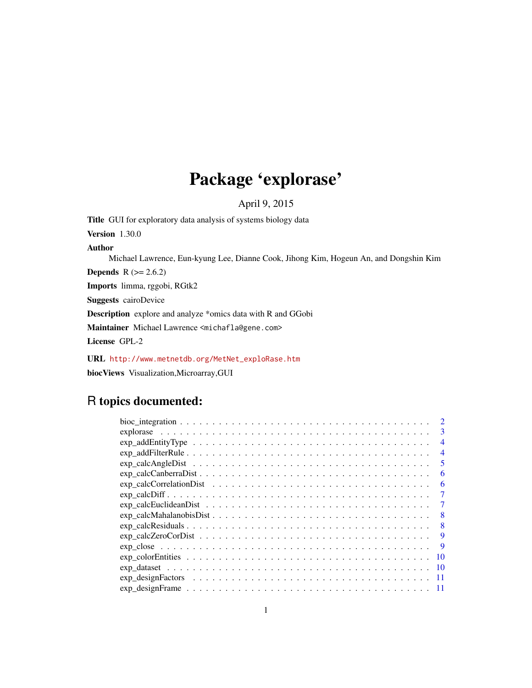## Package 'explorase'

April 9, 2015

Title GUI for exploratory data analysis of systems biology data Version 1.30.0 Author Michael Lawrence, Eun-kyung Lee, Dianne Cook, Jihong Kim, Hogeun An, and Dongshin Kim **Depends** R  $(>= 2.6.2)$ Imports limma, rggobi, RGtk2 Suggests cairoDevice Description explore and analyze \*omics data with R and GGobi Maintainer Michael Lawrence <michafla@gene.com> License GPL-2

URL [http://www.metnetdb.org/MetNet\\_exploRase.htm](http://www.metnetdb.org/MetNet_exploRase.htm) biocViews Visualization,Microarray,GUI

### R topics documented:

| 3                                                                                                      |
|--------------------------------------------------------------------------------------------------------|
| $\overline{4}$                                                                                         |
| 4                                                                                                      |
| 5                                                                                                      |
| 6                                                                                                      |
| 6                                                                                                      |
| $exp\_calcDiff$<br>7                                                                                   |
| 7                                                                                                      |
| 8                                                                                                      |
| 8                                                                                                      |
| 9                                                                                                      |
| 9                                                                                                      |
| 10                                                                                                     |
| -10                                                                                                    |
|                                                                                                        |
| $exp\_designFrame \ldots \ldots \ldots \ldots \ldots \ldots \ldots \ldots \ldots \ldots \ldots \ldots$ |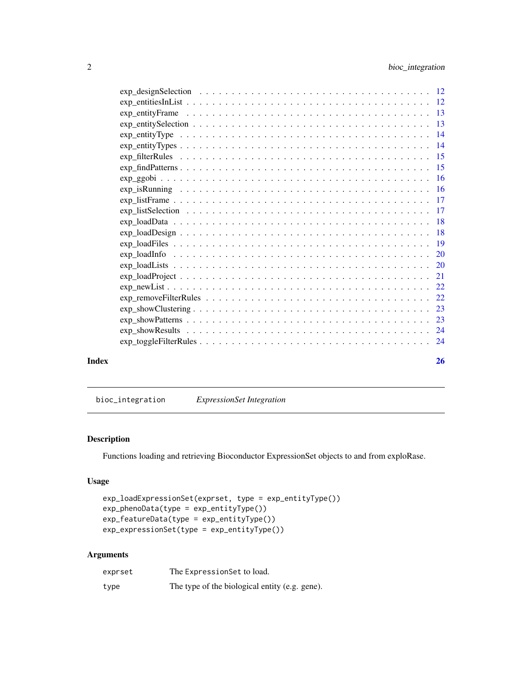<span id="page-1-0"></span>

|       | $exp\_loadDesign \ldots \ldots \ldots \ldots \ldots \ldots \ldots \ldots \ldots \ldots \ldots \ldots \ldots 18$ |    |
|-------|-----------------------------------------------------------------------------------------------------------------|----|
|       |                                                                                                                 |    |
|       |                                                                                                                 |    |
|       |                                                                                                                 |    |
|       |                                                                                                                 |    |
|       |                                                                                                                 |    |
|       |                                                                                                                 |    |
|       |                                                                                                                 |    |
|       |                                                                                                                 |    |
|       |                                                                                                                 |    |
|       |                                                                                                                 |    |
| Index |                                                                                                                 | 26 |

bioc\_integration *ExpressionSet Integration*

#### Description

Functions loading and retrieving Bioconductor ExpressionSet objects to and from exploRase.

#### Usage

```
exp_loadExpressionSet(exprset, type = exp_entityType())
exp_phenoData(type = exp_entityType())
exp_featureData(type = exp_entityType())
exp_expressionSet(type = exp_entityType())
```
#### Arguments

| exprset | The Expression Set to load.                    |
|---------|------------------------------------------------|
| type    | The type of the biological entity (e.g. gene). |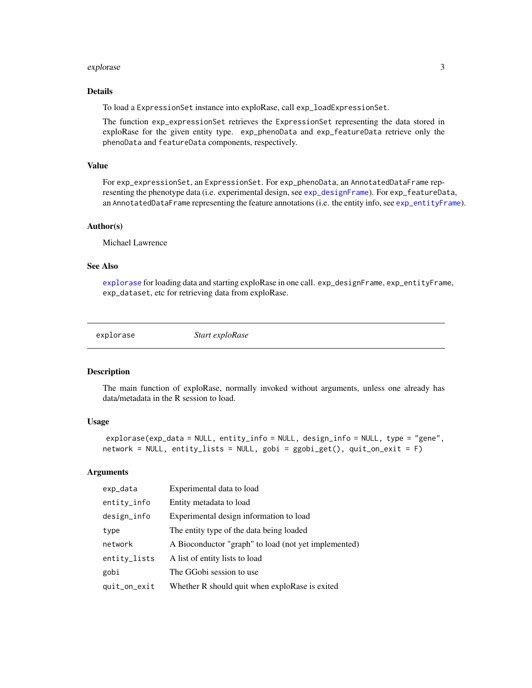#### <span id="page-2-0"></span>explorase 3

#### Details

To load a ExpressionSet instance into exploRase, call exp\_loadExpressionSet.

The function exp\_expressionSet retrieves the ExpressionSet representing the data stored in exploRase for the given entity type. exp\_phenoData and exp\_featureData retrieve only the phenoData and featureData components, respectively.

#### Value

For exp\_expressionSet, an ExpressionSet. For exp\_phenoData, an AnnotatedDataFrame representing the phenotype data (i.e. experimental design, see [exp\\_designFrame](#page-10-1)). For exp\_featureData, an AnnotatedDataFrame representing the feature annotations (i.e. the entity info, see [exp\\_entityFrame](#page-12-1)).

#### Author(s)

Michael Lawrence

#### See Also

[explorase](#page-2-1) for loading data and starting exploRase in one call. exp\_designFrame, exp\_entityFrame, exp\_dataset, etc for retrieving data from exploRase.

<span id="page-2-1"></span>

explorase *Start exploRase*

#### Description

The main function of exploRase, normally invoked without arguments, unless one already has data/metadata in the R session to load.

#### Usage

```
explorase(exp_data = NULL, entity_info = NULL, design_info = NULL, type = "gene",
network = NULL, entity_lists = NULL, gobi = ggobi_get(), quit_on_exit = F)
```
#### Arguments

| exp_data     | Experimental data to load                            |
|--------------|------------------------------------------------------|
| entity_info  | Entity metadata to load                              |
| design_info  | Experimental design information to load              |
| type         | The entity type of the data being loaded             |
| network      | A Bioconductor "graph" to load (not yet implemented) |
| entity_lists | A list of entity lists to load                       |
| gobi         | The GGobi session to use                             |
| quit_on_exit | Whether R should quit when exploRase is exited       |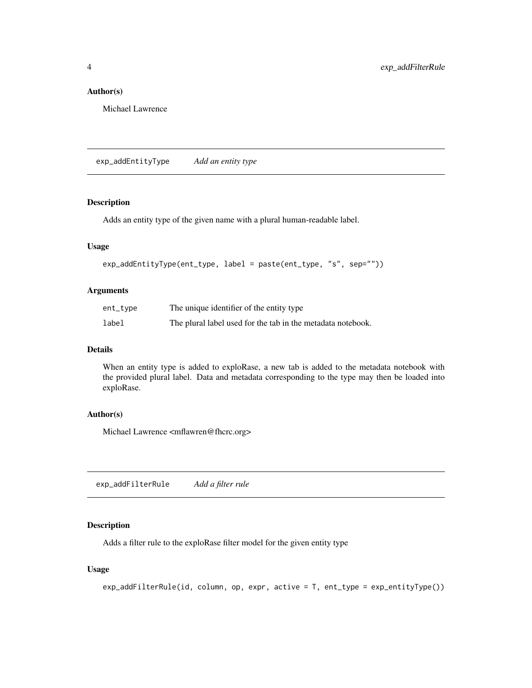#### <span id="page-3-0"></span>Author(s)

Michael Lawrence

exp\_addEntityType *Add an entity type*

#### Description

Adds an entity type of the given name with a plural human-readable label.

#### Usage

```
exp_addEntityType(ent_type, label = paste(ent_type, "s", sep=""))
```
#### Arguments

| $ent_type$ | The unique identifier of the entity type                    |
|------------|-------------------------------------------------------------|
| label      | The plural label used for the tab in the metadata notebook. |

#### Details

When an entity type is added to exploRase, a new tab is added to the metadata notebook with the provided plural label. Data and metadata corresponding to the type may then be loaded into exploRase.

#### Author(s)

Michael Lawrence <mflawren@fhcrc.org>

exp\_addFilterRule *Add a filter rule*

#### Description

Adds a filter rule to the exploRase filter model for the given entity type

#### Usage

```
exp_addFilterRule(id, column, op, expr, active = T, ent_type = exp_entityType())
```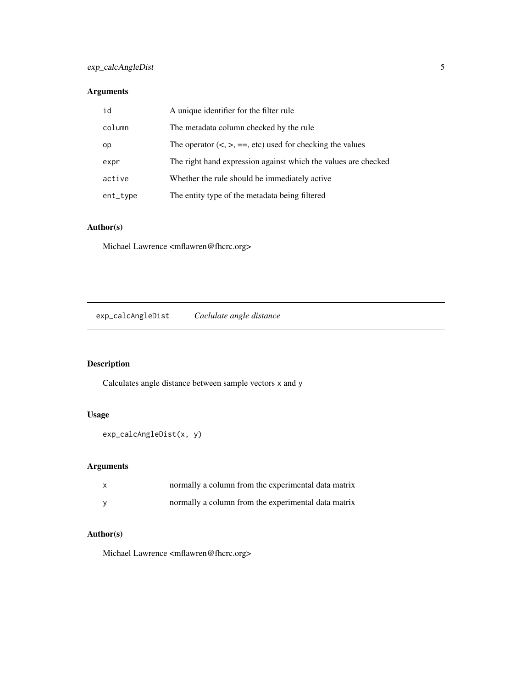#### <span id="page-4-0"></span>Arguments

| id       | A unique identifier for the filter rule                        |
|----------|----------------------------------------------------------------|
| column   | The metadata column checked by the rule                        |
| op       | The operator $(<, >, ==, etc)$ used for checking the values    |
| expr     | The right hand expression against which the values are checked |
| active   | Whether the rule should be immediately active.                 |
| ent_type | The entity type of the metadata being filtered                 |

#### Author(s)

Michael Lawrence <mflawren@fhcrc.org>

exp\_calcAngleDist *Caclulate angle distance*

### Description

Calculates angle distance between sample vectors x and y

#### Usage

```
exp_calcAngleDist(x, y)
```
#### Arguments

| X | normally a column from the experimental data matrix |
|---|-----------------------------------------------------|
|   | normally a column from the experimental data matrix |

#### Author(s)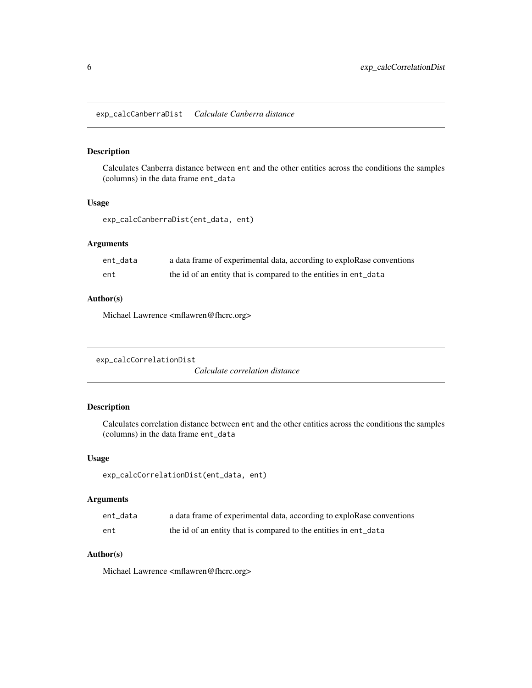<span id="page-5-0"></span>exp\_calcCanberraDist *Calculate Canberra distance*

#### Description

Calculates Canberra distance between ent and the other entities across the conditions the samples (columns) in the data frame ent\_data

#### Usage

exp\_calcCanberraDist(ent\_data, ent)

#### Arguments

| ent data | a data frame of experimental data, according to exploRase conventions |
|----------|-----------------------------------------------------------------------|
| ent      | the id of an entity that is compared to the entities in ent_data      |

#### Author(s)

Michael Lawrence <mflawren@fhcrc.org>

```
exp_calcCorrelationDist
```
*Calculate correlation distance*

#### Description

Calculates correlation distance between ent and the other entities across the conditions the samples (columns) in the data frame ent\_data

#### Usage

```
exp_calcCorrelationDist(ent_data, ent)
```
#### Arguments

| ent data | a data frame of experimental data, according to exploRase conventions |
|----------|-----------------------------------------------------------------------|
| ent      | the id of an entity that is compared to the entities in ent_data      |

#### Author(s)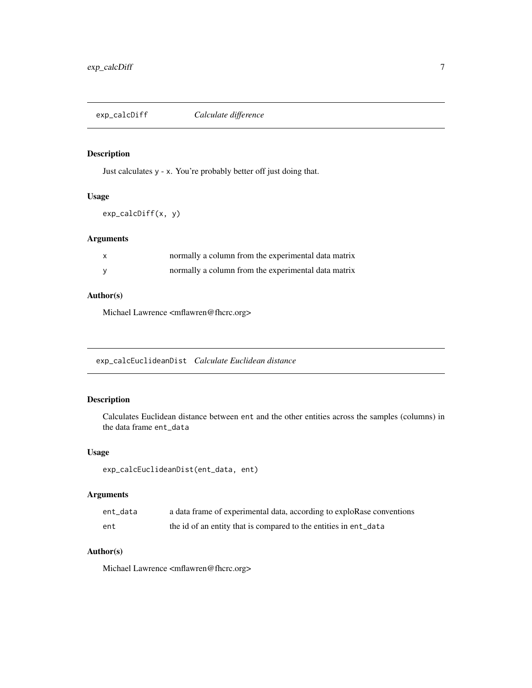<span id="page-6-0"></span>exp\_calcDiff *Calculate difference*

#### Description

Just calculates y - x. You're probably better off just doing that.

#### Usage

```
exp_calcDiff(x, y)
```
#### Arguments

| X | normally a column from the experimental data matrix |
|---|-----------------------------------------------------|
|   | normally a column from the experimental data matrix |

#### Author(s)

Michael Lawrence <mflawren@fhcrc.org>

exp\_calcEuclideanDist *Calculate Euclidean distance*

#### Description

Calculates Euclidean distance between ent and the other entities across the samples (columns) in the data frame ent\_data

#### Usage

```
exp_calcEuclideanDist(ent_data, ent)
```
#### Arguments

| ent data | a data frame of experimental data, according to exploRase conventions |
|----------|-----------------------------------------------------------------------|
| ent      | the id of an entity that is compared to the entities in ent_data      |

#### Author(s)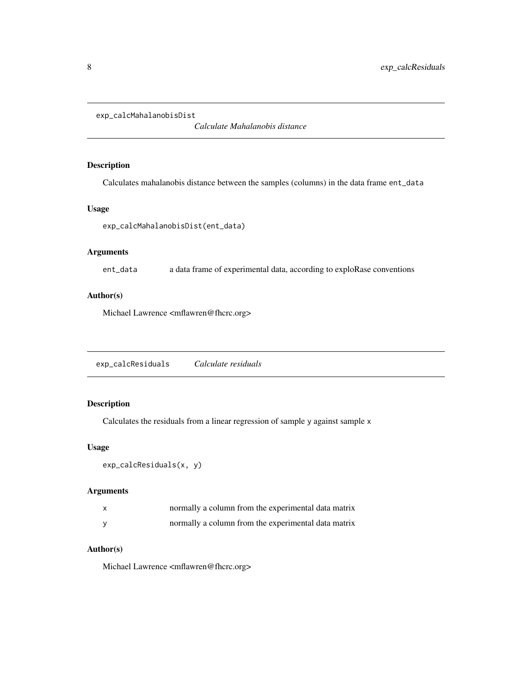```
exp_calcMahalanobisDist
```
*Calculate Mahalanobis distance*

#### Description

Calculates mahalanobis distance between the samples (columns) in the data frame ent\_data

#### Usage

exp\_calcMahalanobisDist(ent\_data)

#### Arguments

ent\_data a data frame of experimental data, according to exploRase conventions

#### Author(s)

Michael Lawrence <mflawren@fhcrc.org>

exp\_calcResiduals *Calculate residuals*

#### Description

Calculates the residuals from a linear regression of sample y against sample x

#### Usage

```
exp_calcResiduals(x, y)
```
#### Arguments

| X | normally a column from the experimental data matrix |
|---|-----------------------------------------------------|
|   | normally a column from the experimental data matrix |

#### Author(s)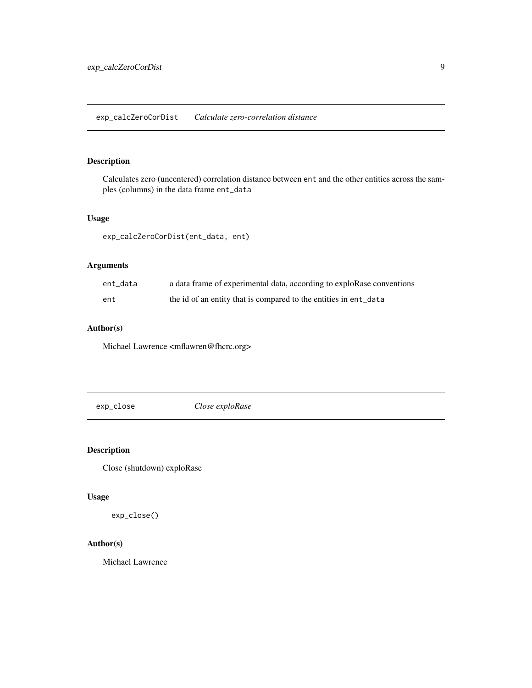<span id="page-8-0"></span>Calculates zero (uncentered) correlation distance between ent and the other entities across the samples (columns) in the data frame ent\_data

#### Usage

exp\_calcZeroCorDist(ent\_data, ent)

#### Arguments

| ent_data | a data frame of experimental data, according to exploRase conventions |
|----------|-----------------------------------------------------------------------|
| ent      | the id of an entity that is compared to the entities in ent_data      |

#### Author(s)

Michael Lawrence <mflawren@fhcrc.org>

exp\_close *Close exploRase*

#### Description

Close (shutdown) exploRase

#### Usage

exp\_close()

#### Author(s)

Michael Lawrence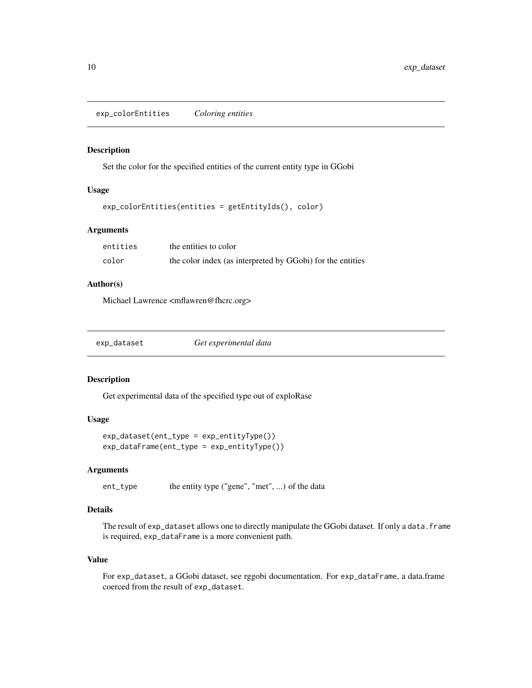<span id="page-9-0"></span>exp\_colorEntities *Coloring entities*

#### Description

Set the color for the specified entities of the current entity type in GGobi

#### Usage

```
exp_colorEntities(entities = getEntityIds(), color)
```
#### Arguments

| entities | the entities to color                                      |
|----------|------------------------------------------------------------|
| color    | the color index (as interpreted by GGobi) for the entities |

#### Author(s)

Michael Lawrence <mflawren@fhcrc.org>

| exp_dataset | Get experimental data |  |
|-------------|-----------------------|--|
|             |                       |  |

#### Description

Get experimental data of the specified type out of exploRase

#### Usage

```
exp_dataset(ent_type = exp_entityType())
exp_dataFrame(ent_type = exp_entityType())
```
#### **Arguments**

ent\_type the entity type ("gene", "met", ...) of the data

#### Details

The result of exp\_dataset allows one to directly manipulate the GGobi dataset. If only a data.frame is required, exp\_dataFrame is a more convenient path.

#### Value

For exp\_dataset, a GGobi dataset, see rggobi documentation. For exp\_dataFrame, a data.frame coerced from the result of exp\_dataset.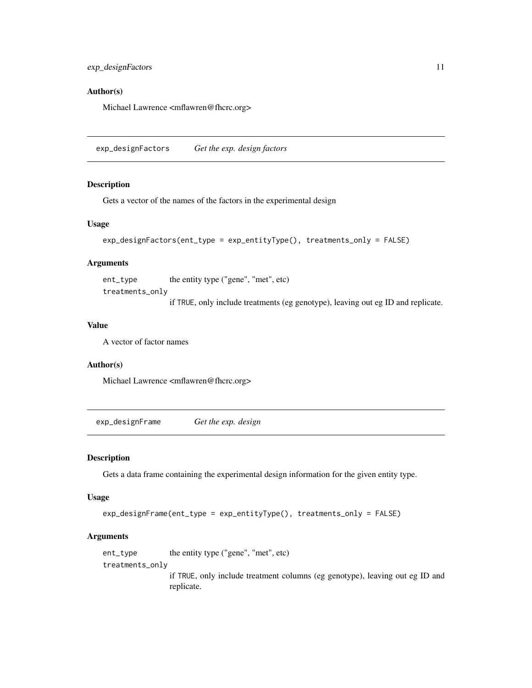#### <span id="page-10-0"></span>Author(s)

Michael Lawrence <mflawren@fhcrc.org>

exp\_designFactors *Get the exp. design factors*

#### Description

Gets a vector of the names of the factors in the experimental design

#### Usage

```
exp_designFactors(ent_type = exp_entityType(), treatments_only = FALSE)
```
#### Arguments

ent\_type the entity type ("gene", "met", etc)

treatments\_only

if TRUE, only include treatments (eg genotype), leaving out eg ID and replicate.

#### Value

A vector of factor names

#### Author(s)

Michael Lawrence <mflawren@fhcrc.org>

<span id="page-10-1"></span>exp\_designFrame *Get the exp. design*

#### Description

Gets a data frame containing the experimental design information for the given entity type.

#### Usage

```
exp_designFrame(ent_type = exp_entityType(), treatments_only = FALSE)
```
#### Arguments

```
ent_type the entity type ("gene", "met", etc)
treatments_only
                 if TRUE, only include treatment columns (eg genotype), leaving out eg ID and
                 replicate.
```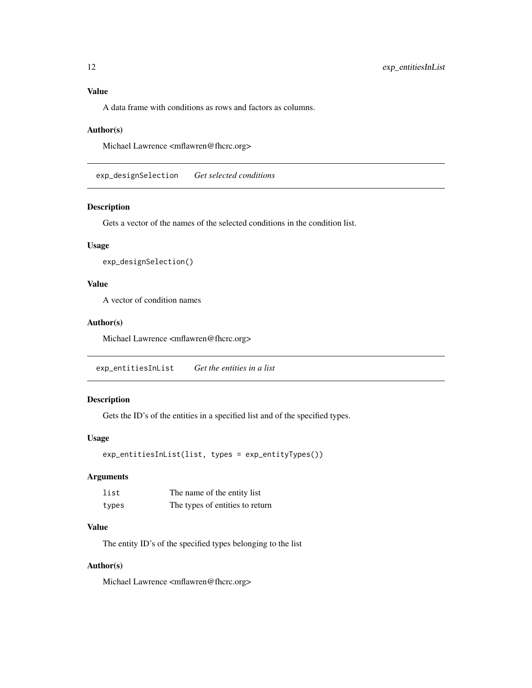#### <span id="page-11-0"></span>Value

A data frame with conditions as rows and factors as columns.

#### Author(s)

Michael Lawrence <mflawren@fhcrc.org>

exp\_designSelection *Get selected conditions*

#### Description

Gets a vector of the names of the selected conditions in the condition list.

#### Usage

```
exp_designSelection()
```
#### Value

A vector of condition names

#### Author(s)

Michael Lawrence <mflawren@fhcrc.org>

exp\_entitiesInList *Get the entities in a list*

#### Description

Gets the ID's of the entities in a specified list and of the specified types.

#### Usage

exp\_entitiesInList(list, types = exp\_entityTypes())

#### Arguments

| list  | The name of the entity list     |
|-------|---------------------------------|
| types | The types of entities to return |

#### Value

The entity ID's of the specified types belonging to the list

#### Author(s)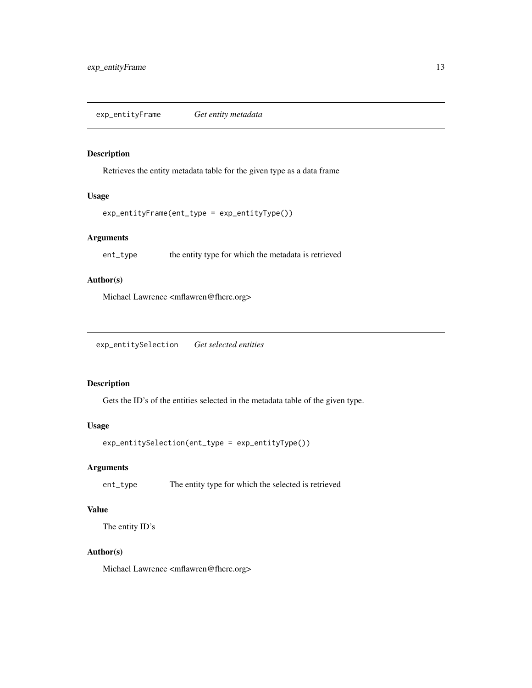<span id="page-12-1"></span><span id="page-12-0"></span>exp\_entityFrame *Get entity metadata*

#### Description

Retrieves the entity metadata table for the given type as a data frame

#### Usage

```
exp_entityFrame(ent_type = exp_entityType())
```
#### Arguments

ent\_type the entity type for which the metadata is retrieved

#### Author(s)

Michael Lawrence <mflawren@fhcrc.org>

exp\_entitySelection *Get selected entities*

#### Description

Gets the ID's of the entities selected in the metadata table of the given type.

#### Usage

```
exp_entitySelection(ent_type = exp_entityType())
```
#### Arguments

ent\_type The entity type for which the selected is retrieved

#### Value

The entity ID's

#### Author(s)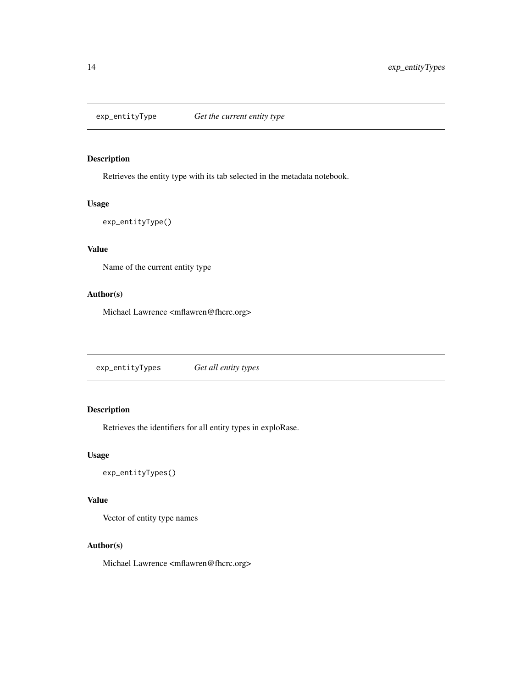<span id="page-13-0"></span>

Retrieves the entity type with its tab selected in the metadata notebook.

#### Usage

```
exp_entityType()
```
#### Value

Name of the current entity type

#### Author(s)

Michael Lawrence <mflawren@fhcrc.org>

exp\_entityTypes *Get all entity types*

#### Description

Retrieves the identifiers for all entity types in exploRase.

#### Usage

```
exp_entityTypes()
```
#### Value

Vector of entity type names

#### Author(s)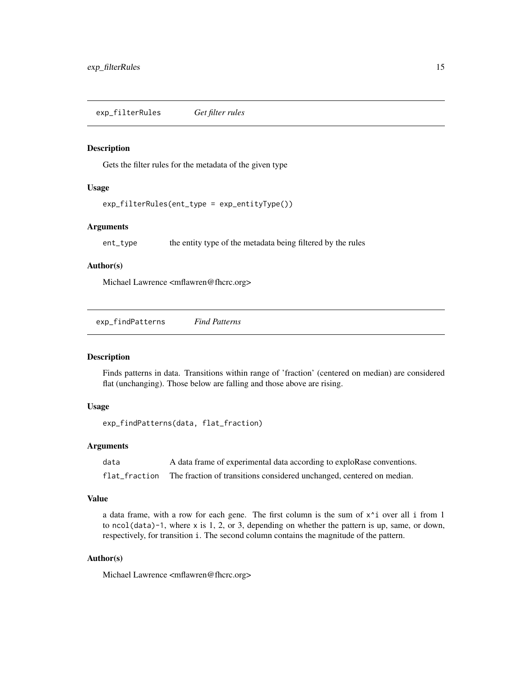<span id="page-14-0"></span>Gets the filter rules for the metadata of the given type

#### Usage

exp\_filterRules(ent\_type = exp\_entityType())

#### Arguments

ent\_type the entity type of the metadata being filtered by the rules

#### Author(s)

Michael Lawrence <mflawren@fhcrc.org>

<span id="page-14-1"></span>exp\_findPatterns *Find Patterns*

#### Description

Finds patterns in data. Transitions within range of 'fraction' (centered on median) are considered flat (unchanging). Those below are falling and those above are rising.

#### Usage

exp\_findPatterns(data, flat\_fraction)

#### Arguments

| data          | A data frame of experimental data according to exploRase conventions. |
|---------------|-----------------------------------------------------------------------|
| flat fraction | The fraction of transitions considered unchanged, centered on median. |

#### Value

a data frame, with a row for each gene. The first column is the sum of  $x^i$  over all i from 1 to ncol(data)-1, where x is 1, 2, or 3, depending on whether the pattern is up, same, or down, respectively, for transition i. The second column contains the magnitude of the pattern.

#### Author(s)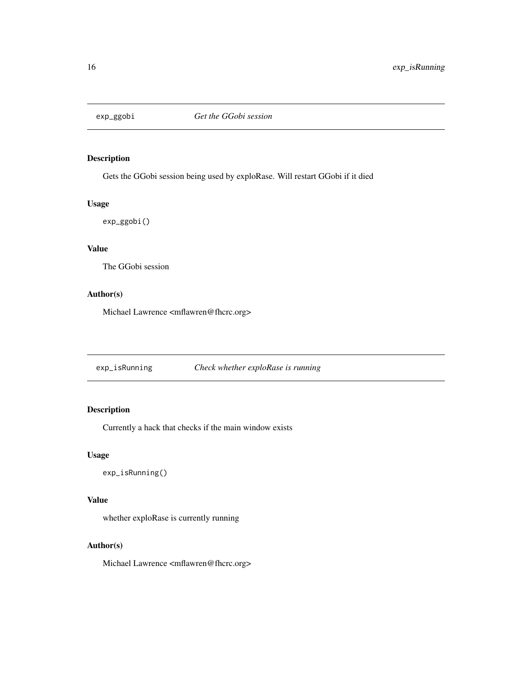<span id="page-15-0"></span>

Gets the GGobi session being used by exploRase. Will restart GGobi if it died

#### Usage

exp\_ggobi()

#### Value

The GGobi session

#### Author(s)

Michael Lawrence <mflawren@fhcrc.org>

exp\_isRunning *Check whether exploRase is running*

#### Description

Currently a hack that checks if the main window exists

#### Usage

```
exp_isRunning()
```
#### Value

whether exploRase is currently running

#### Author(s)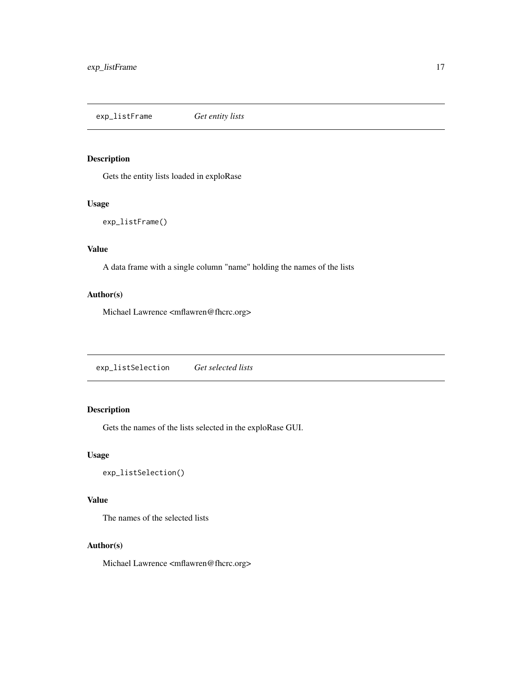<span id="page-16-0"></span>exp\_listFrame *Get entity lists*

#### Description

Gets the entity lists loaded in exploRase

#### Usage

```
exp_listFrame()
```
#### Value

A data frame with a single column "name" holding the names of the lists

#### Author(s)

Michael Lawrence <mflawren@fhcrc.org>

exp\_listSelection *Get selected lists*

#### Description

Gets the names of the lists selected in the exploRase GUI.

#### Usage

```
exp_listSelection()
```
#### Value

The names of the selected lists

#### Author(s)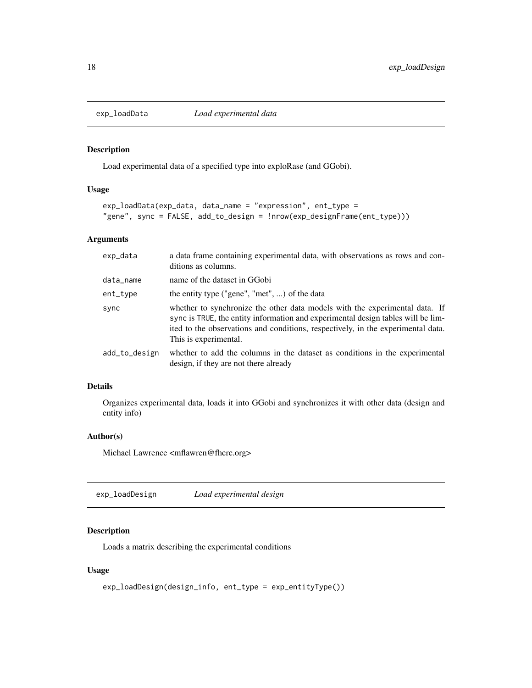<span id="page-17-0"></span>

Load experimental data of a specified type into exploRase (and GGobi).

#### Usage

```
exp_loadData(exp_data, data_name = "expression", ent_type =
"gene", sync = FALSE, add_to_design = !nrow(exp_designFrame(ent_type)))
```
#### Arguments

| exp_data      | a data frame containing experimental data, with observations as rows and con-<br>ditions as columns.                                                                                                                                                                         |
|---------------|------------------------------------------------------------------------------------------------------------------------------------------------------------------------------------------------------------------------------------------------------------------------------|
| data_name     | name of the dataset in GGobi                                                                                                                                                                                                                                                 |
| ent_type      | the entity type ("gene", "met", ) of the data                                                                                                                                                                                                                                |
| sync          | whether to synchronize the other data models with the experimental data. If<br>sync is TRUE, the entity information and experimental design tables will be lim-<br>ited to the observations and conditions, respectively, in the experimental data.<br>This is experimental. |
| add_to_design | whether to add the columns in the dataset as conditions in the experimental<br>design, if they are not there already                                                                                                                                                         |

#### Details

Organizes experimental data, loads it into GGobi and synchronizes it with other data (design and entity info)

#### Author(s)

Michael Lawrence <mflawren@fhcrc.org>

exp\_loadDesign *Load experimental design*

#### Description

Loads a matrix describing the experimental conditions

#### Usage

```
exp_loadDesign(design_info, ent_type = exp_entityType())
```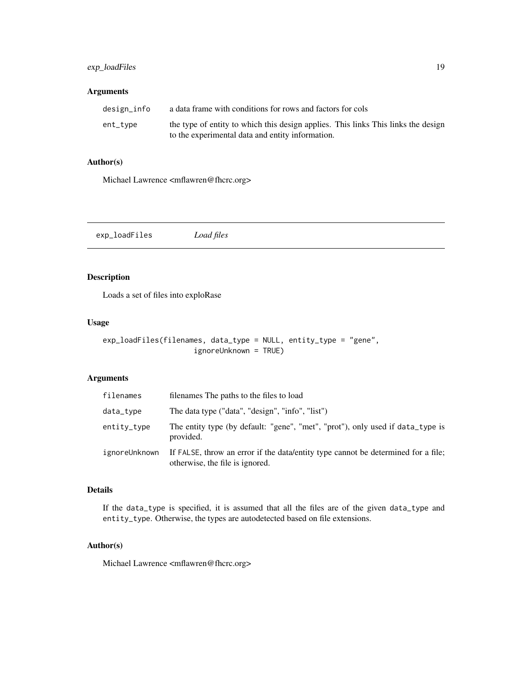#### <span id="page-18-0"></span>exp\_loadFiles 19

#### Arguments

| design_info | a data frame with conditions for rows and factors for cols                                                                            |
|-------------|---------------------------------------------------------------------------------------------------------------------------------------|
| ent_type    | the type of entity to which this design applies. This links This links the design<br>to the experimental data and entity information. |

#### Author(s)

Michael Lawrence <mflawren@fhcrc.org>

exp\_loadFiles *Load files*

#### Description

Loads a set of files into exploRase

#### Usage

```
exp_loadFiles(filenames, data_type = NULL, entity_type = "gene",
                     ignoreUnknown = TRUE)
```
#### Arguments

| filenames     | filenames The paths to the files to load                                                                             |
|---------------|----------------------------------------------------------------------------------------------------------------------|
| data_type     | The data type ("data", "design", "info", "list")                                                                     |
| entity_type   | The entity type (by default: "gene", "met", "prot"), only used if data_type is<br>provided.                          |
| ignoreUnknown | If FALSE, throw an error if the data/entity type cannot be determined for a file.<br>otherwise, the file is ignored. |

#### Details

If the data\_type is specified, it is assumed that all the files are of the given data\_type and entity\_type. Otherwise, the types are autodetected based on file extensions.

#### Author(s)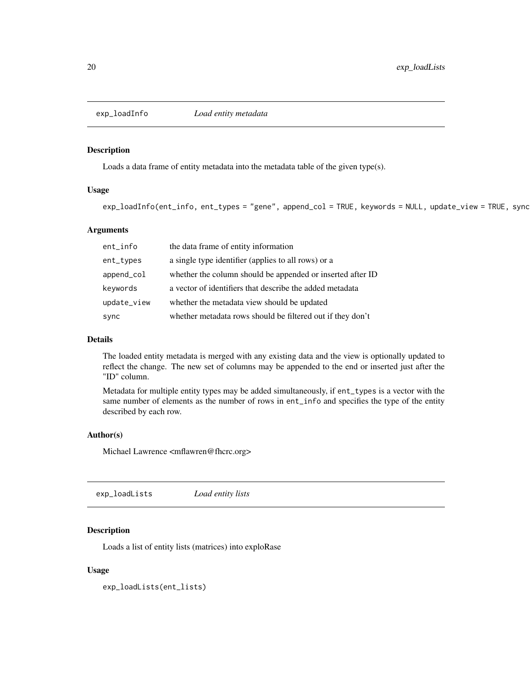<span id="page-19-0"></span>

Loads a data frame of entity metadata into the metadata table of the given type(s).

#### Usage

```
exp_loadInfo(ent_info, ent_types = "gene", append_col = TRUE, keywords = NULL, update_view = TRUE, sync
```
#### Arguments

| ent_info    | the data frame of entity information                       |
|-------------|------------------------------------------------------------|
| ent_types   | a single type identifier (applies to all rows) or a        |
| append_col  | whether the column should be appended or inserted after ID |
| keywords    | a vector of identifiers that describe the added metadata   |
| update_view | whether the metadata view should be updated                |
| sync        | whether metadata rows should be filtered out if they don't |

#### Details

The loaded entity metadata is merged with any existing data and the view is optionally updated to reflect the change. The new set of columns may be appended to the end or inserted just after the "ID" column.

Metadata for multiple entity types may be added simultaneously, if ent\_types is a vector with the same number of elements as the number of rows in ent\_info and specifies the type of the entity described by each row.

#### Author(s)

Michael Lawrence <mflawren@fhcrc.org>

exp\_loadLists *Load entity lists*

#### Description

Loads a list of entity lists (matrices) into exploRase

#### Usage

exp\_loadLists(ent\_lists)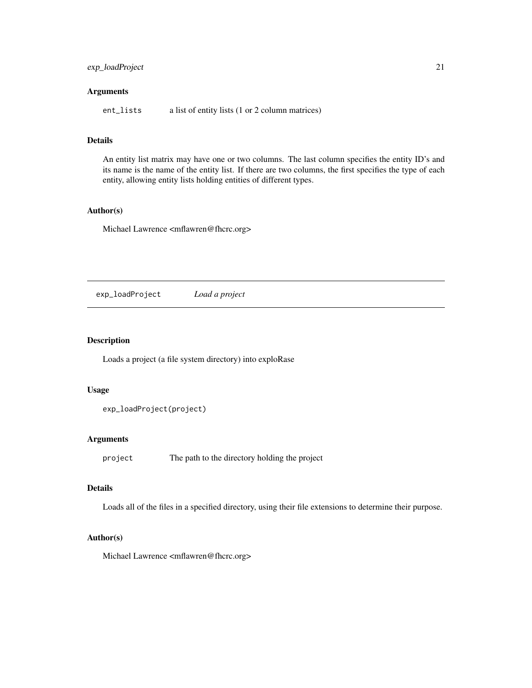#### <span id="page-20-0"></span>exp\_loadProject 21

#### Arguments

ent\_lists a list of entity lists (1 or 2 column matrices)

#### Details

An entity list matrix may have one or two columns. The last column specifies the entity ID's and its name is the name of the entity list. If there are two columns, the first specifies the type of each entity, allowing entity lists holding entities of different types.

#### Author(s)

Michael Lawrence <mflawren@fhcrc.org>

exp\_loadProject *Load a project*

#### Description

Loads a project (a file system directory) into exploRase

#### Usage

```
exp_loadProject(project)
```
#### Arguments

project The path to the directory holding the project

#### Details

Loads all of the files in a specified directory, using their file extensions to determine their purpose.

#### Author(s)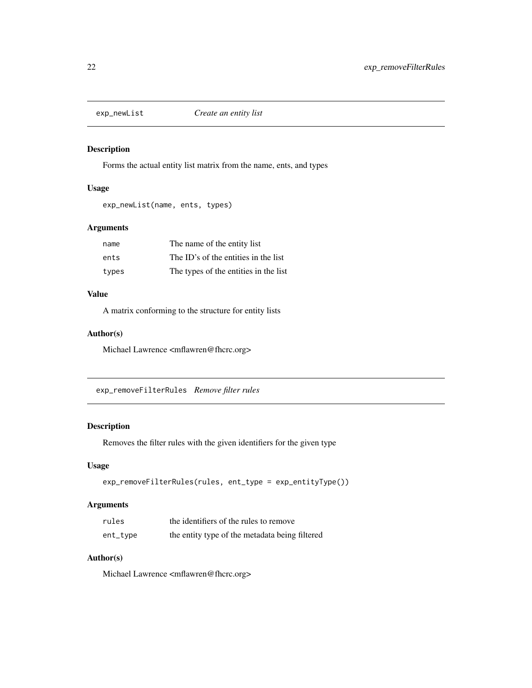<span id="page-21-0"></span>

Forms the actual entity list matrix from the name, ents, and types

#### Usage

```
exp_newList(name, ents, types)
```
#### Arguments

| name  | The name of the entity list           |
|-------|---------------------------------------|
| ents  | The ID's of the entities in the list  |
| types | The types of the entities in the list |

#### Value

A matrix conforming to the structure for entity lists

#### Author(s)

Michael Lawrence <mflawren@fhcrc.org>

exp\_removeFilterRules *Remove filter rules*

#### Description

Removes the filter rules with the given identifiers for the given type

#### Usage

```
exp_removeFilterRules(rules, ent_type = exp_entityType())
```
#### Arguments

| rules    | the identifiers of the rules to remove         |
|----------|------------------------------------------------|
| ent_type | the entity type of the metadata being filtered |

#### Author(s)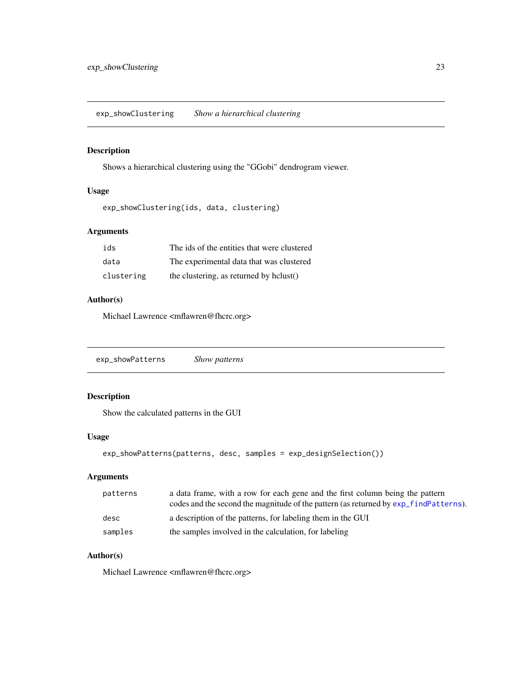<span id="page-22-0"></span>exp\_showClustering *Show a hierarchical clustering*

#### Description

Shows a hierarchical clustering using the "GGobi" dendrogram viewer.

#### Usage

```
exp_showClustering(ids, data, clustering)
```
#### Arguments

| ids        | The ids of the entities that were clustered |
|------------|---------------------------------------------|
| data       | The experimental data that was clustered    |
| clustering | the clustering, as returned by hclust()     |

#### Author(s)

Michael Lawrence <mflawren@fhcrc.org>

```
exp_showPatterns Show patterns
```
#### Description

Show the calculated patterns in the GUI

#### Usage

```
exp_showPatterns(patterns, desc, samples = exp_designSelection())
```
#### Arguments

| patterns | a data frame, with a row for each gene and the first column being the pattern         |
|----------|---------------------------------------------------------------------------------------|
|          | codes and the second the magnitude of the pattern (as returned by exp find Patterns). |
| desc     | a description of the patterns, for labeling them in the GUI                           |
| samples  | the samples involved in the calculation, for labeling                                 |

#### Author(s)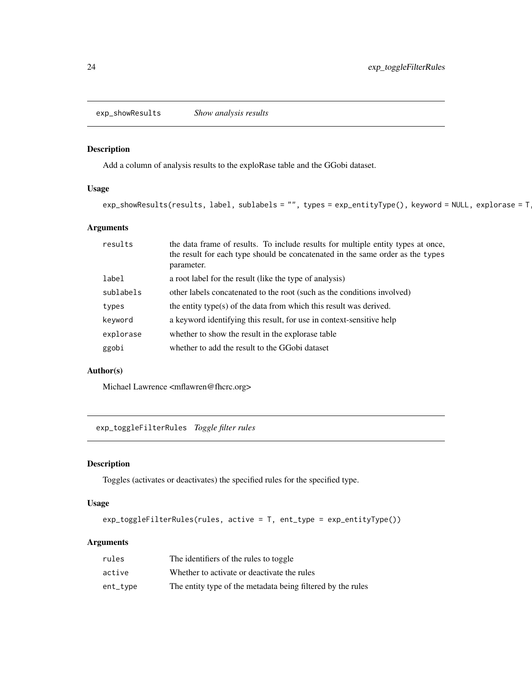<span id="page-23-0"></span>exp\_showResults *Show analysis results*

#### Description

Add a column of analysis results to the exploRase table and the GGobi dataset.

#### Usage

```
exp_showResults(results, label, sublabels = "", types = exp_entityType(), keyword = NULL, explorase = T
```
#### Arguments

| results   | the data frame of results. To include results for multiple entity types at once,<br>the result for each type should be concatenated in the same order as the types<br>parameter. |
|-----------|----------------------------------------------------------------------------------------------------------------------------------------------------------------------------------|
| label     | a root label for the result (like the type of analysis)                                                                                                                          |
| sublabels | other labels concatenated to the root (such as the conditions involved)                                                                                                          |
| types     | the entity type(s) of the data from which this result was derived.                                                                                                               |
| keyword   | a keyword identifying this result, for use in context-sensitive help                                                                                                             |
| explorase | whether to show the result in the explorate table                                                                                                                                |
| ggobi     | whether to add the result to the GGobi dataset                                                                                                                                   |

#### Author(s)

Michael Lawrence <mflawren@fhcrc.org>

exp\_toggleFilterRules *Toggle filter rules*

#### Description

Toggles (activates or deactivates) the specified rules for the specified type.

#### Usage

```
exp_toggleFilterRules(rules, active = T, ent_type = exp_entityType())
```
#### Arguments

| rules    | The identifiers of the rules to toggle                      |
|----------|-------------------------------------------------------------|
| active   | Whether to activate or deactivate the rules                 |
| ent_type | The entity type of the metadata being filtered by the rules |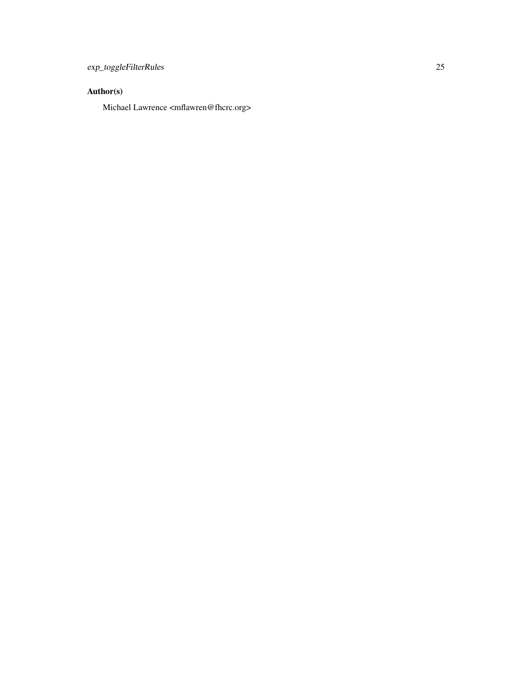#### Author(s)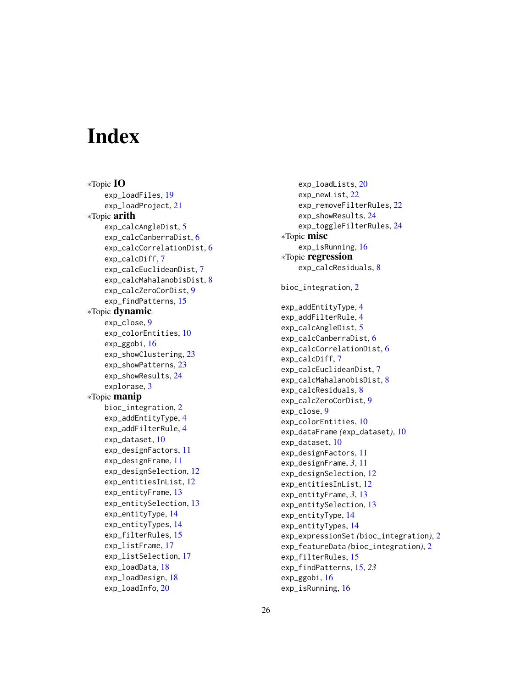# <span id="page-25-0"></span>**Index**

∗Topic IO exp\_loadFiles, [19](#page-18-0) exp\_loadProject, [21](#page-20-0) ∗Topic arith exp\_calcAngleDist, [5](#page-4-0) exp\_calcCanberraDist, [6](#page-5-0) exp\_calcCorrelationDist, [6](#page-5-0) exp\_calcDiff, [7](#page-6-0) exp\_calcEuclideanDist, [7](#page-6-0) exp\_calcMahalanobisDist, [8](#page-7-0) exp\_calcZeroCorDist, [9](#page-8-0) exp\_findPatterns, [15](#page-14-0) ∗Topic dynamic exp\_close, [9](#page-8-0) exp\_colorEntities, [10](#page-9-0) exp\_ggobi, [16](#page-15-0) exp\_showClustering, [23](#page-22-0) exp\_showPatterns, [23](#page-22-0) exp\_showResults, [24](#page-23-0) explorase, [3](#page-2-0) ∗Topic manip bioc\_integration, [2](#page-1-0) exp\_addEntityType, [4](#page-3-0) exp\_addFilterRule, [4](#page-3-0) exp\_dataset, [10](#page-9-0) exp\_designFactors, [11](#page-10-0) exp\_designFrame, [11](#page-10-0) exp\_designSelection, [12](#page-11-0) exp\_entitiesInList, [12](#page-11-0) exp\_entityFrame, [13](#page-12-0) exp\_entitySelection, [13](#page-12-0) exp\_entityType, [14](#page-13-0) exp\_entityTypes, [14](#page-13-0) exp\_filterRules, [15](#page-14-0) exp\_listFrame, [17](#page-16-0) exp\_listSelection, [17](#page-16-0) exp\_loadData, [18](#page-17-0) exp\_loadDesign, [18](#page-17-0) exp\_loadInfo, [20](#page-19-0)

exp\_loadLists, [20](#page-19-0) exp\_newList, [22](#page-21-0) exp\_removeFilterRules, [22](#page-21-0) exp\_showResults, [24](#page-23-0) exp\_toggleFilterRules, [24](#page-23-0) ∗Topic misc exp\_isRunning, [16](#page-15-0) ∗Topic regression exp\_calcResiduals, [8](#page-7-0) bioc\_integration, [2](#page-1-0) exp\_addEntityType, [4](#page-3-0) exp\_addFilterRule, [4](#page-3-0) exp\_calcAngleDist, [5](#page-4-0) exp\_calcCanberraDist, [6](#page-5-0) exp\_calcCorrelationDist, [6](#page-5-0) exp\_calcDiff, [7](#page-6-0) exp\_calcEuclideanDist, [7](#page-6-0) exp\_calcMahalanobisDist, [8](#page-7-0) exp\_calcResiduals, [8](#page-7-0) exp\_calcZeroCorDist, [9](#page-8-0) exp\_close, [9](#page-8-0) exp\_colorEntities, [10](#page-9-0) exp\_dataFrame *(*exp\_dataset*)*, [10](#page-9-0) exp\_dataset, [10](#page-9-0) exp\_designFactors, [11](#page-10-0) exp\_designFrame, *3*, [11](#page-10-0) exp\_designSelection, [12](#page-11-0) exp\_entitiesInList, [12](#page-11-0) exp\_entityFrame, *3*, [13](#page-12-0) exp\_entitySelection, [13](#page-12-0) exp\_entityType, [14](#page-13-0) exp\_entityTypes, [14](#page-13-0) exp\_expressionSet *(*bioc\_integration*)*, [2](#page-1-0) exp\_featureData *(*bioc\_integration*)*, [2](#page-1-0) exp\_filterRules, [15](#page-14-0) exp\_findPatterns, [15,](#page-14-0) *23* exp\_ggobi, [16](#page-15-0) exp\_isRunning, [16](#page-15-0)